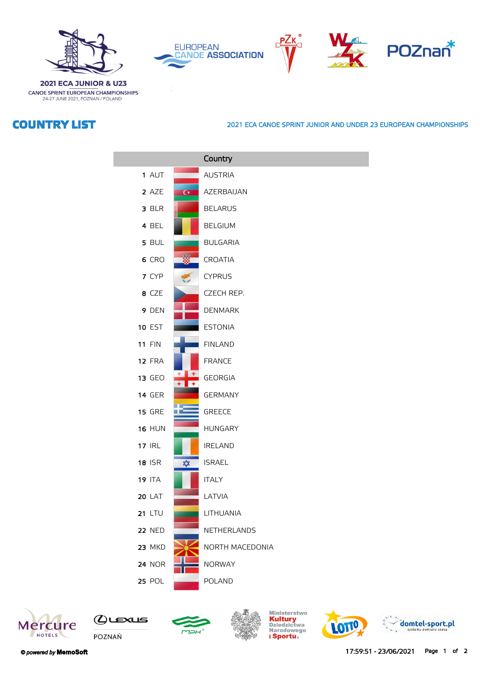







**2021 ECA JUNIOR & U23** CANOE SPRINT EUROPEAN CHAMPIONSHIPS 24-27 JUNE 2021, POZNAN / POLAND

## **COUNTRY LIST**

## **2021 ECA CANOE SPRINT JUNIOR AND UNDER 23 EUROPEAN CHAMPIONSHIPS**

|               |                | Country         |
|---------------|----------------|-----------------|
| 1 AUT         |                | <b>AUSTRIA</b>  |
| 2 AZE         | $\overline{C}$ | AZERBAIJAN      |
| 3 BLR         |                | <b>BELARUS</b>  |
| 4 BEL         |                | <b>BELGIUM</b>  |
| 5 BUL         |                | <b>BULGARIA</b> |
| 6 CRO         |                | <b>CROATIA</b>  |
| 7 CYP         |                | <b>CYPRUS</b>   |
| 8 CZE         |                | CZECH REP.      |
| 9 DEN         |                | <b>DENMARK</b>  |
| <b>10 EST</b> |                | <b>ESTONIA</b>  |
| <b>11 FIN</b> |                | <b>FINLAND</b>  |
| 12 FRA        |                | <b>FRANCE</b>   |
| 13 GEO        |                | <b>GEORGIA</b>  |
| <b>14 GER</b> |                | <b>GERMANY</b>  |
| <b>15 GRE</b> |                | <b>GREECE</b>   |
| <b>16 HUN</b> |                | <b>HUNGARY</b>  |
| <b>17 IRL</b> |                | <b>IRELAND</b>  |
| <b>18 ISR</b> | ✿              | <b>ISRAEL</b>   |
| <b>19 ITA</b> |                | <b>ITALY</b>    |
| <b>20 LAT</b> |                | LATVIA          |
| 21 LTU        |                | LITHUANIA       |
| <b>22 NED</b> |                | NETHERLANDS     |
| <b>23 MKD</b> |                | NORTH MACEDONIA |
| <b>24 NOR</b> |                | <b>NORWAY</b>   |
| <b>25 POL</b> |                | <b>POLAND</b>   |